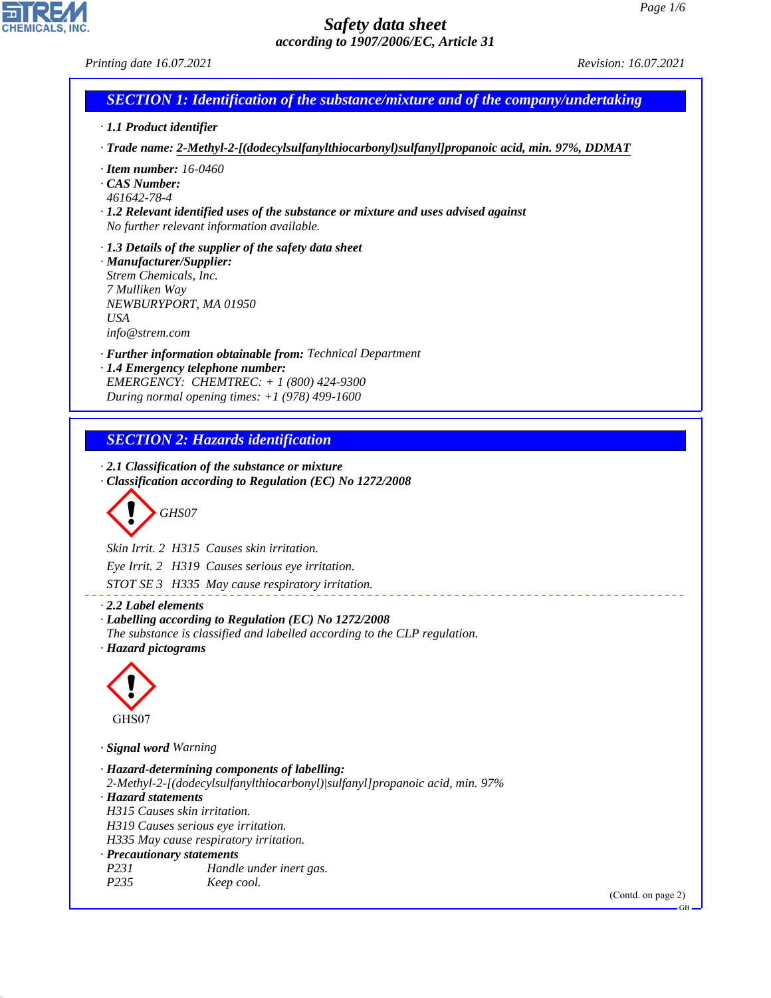*Printing date 16.07.2021 Revision: 16.07.2021*

CHEMICALS, INC.

44.1.1

| · 1.1 Product identifier                                                                            |                                                                                                                                                                                                 |  |
|-----------------------------------------------------------------------------------------------------|-------------------------------------------------------------------------------------------------------------------------------------------------------------------------------------------------|--|
|                                                                                                     | · Trade name: 2-Methyl-2-[(dodecylsulfanylthiocarbonyl)sulfanyl]propanoic acid, min. 97%, DDMAT                                                                                                 |  |
| $\cdot$ Item number: 16-0460<br>CAS Number:<br>461642-78-4                                          |                                                                                                                                                                                                 |  |
|                                                                                                     | $\cdot$ 1.2 Relevant identified uses of the substance or mixture and uses advised against<br>No further relevant information available.                                                         |  |
| · Manufacturer/Supplier:<br>Strem Chemicals, Inc.<br>7 Mulliken Way<br><b>USA</b><br>info@strem.com | $\cdot$ 1.3 Details of the supplier of the safety data sheet<br>NEWBURYPORT, MA 01950                                                                                                           |  |
|                                                                                                     | · Further information obtainable from: Technical Department<br>· 1.4 Emergency telephone number:<br>EMERGENCY: CHEMTREC: + 1 (800) 424-9300<br>During normal opening times: $+1$ (978) 499-1600 |  |
|                                                                                                     | <b>SECTION 2: Hazards identification</b>                                                                                                                                                        |  |
|                                                                                                     | $\cdot$ 2.1 Classification of the substance or mixture                                                                                                                                          |  |
|                                                                                                     | · Classification according to Regulation (EC) No 1272/2008                                                                                                                                      |  |
|                                                                                                     | GHS07                                                                                                                                                                                           |  |
|                                                                                                     | Skin Irrit. 2 H315 Causes skin irritation.                                                                                                                                                      |  |
|                                                                                                     | Eye Irrit. 2 H319 Causes serious eye irritation.                                                                                                                                                |  |
|                                                                                                     | STOT SE 3 H335 May cause respiratory irritation.                                                                                                                                                |  |
| $\cdot$ 2.2 Label elements<br>· Hazard pictograms                                                   | · Labelling according to Regulation (EC) No 1272/2008<br>The substance is classified and labelled according to the CLP regulation.                                                              |  |
|                                                                                                     |                                                                                                                                                                                                 |  |
| GHS07                                                                                               |                                                                                                                                                                                                 |  |
| · Signal word Warning                                                                               |                                                                                                                                                                                                 |  |
| · Hazard statements<br>H315 Causes skin irritation.                                                 | · Hazard-determining components of labelling:<br>2-Methyl-2-[(dodecylsulfanylthiocarbonyl)/sulfanyl]propanoic acid, min. 97%                                                                    |  |
|                                                                                                     | H319 Causes serious eye irritation.<br>H335 May cause respiratory irritation.                                                                                                                   |  |
| · Precautionary statements                                                                          |                                                                                                                                                                                                 |  |
| P231                                                                                                | Handle under inert gas.                                                                                                                                                                         |  |
|                                                                                                     | Keep cool.<br>(Contd. on page 2)                                                                                                                                                                |  |
| P235                                                                                                |                                                                                                                                                                                                 |  |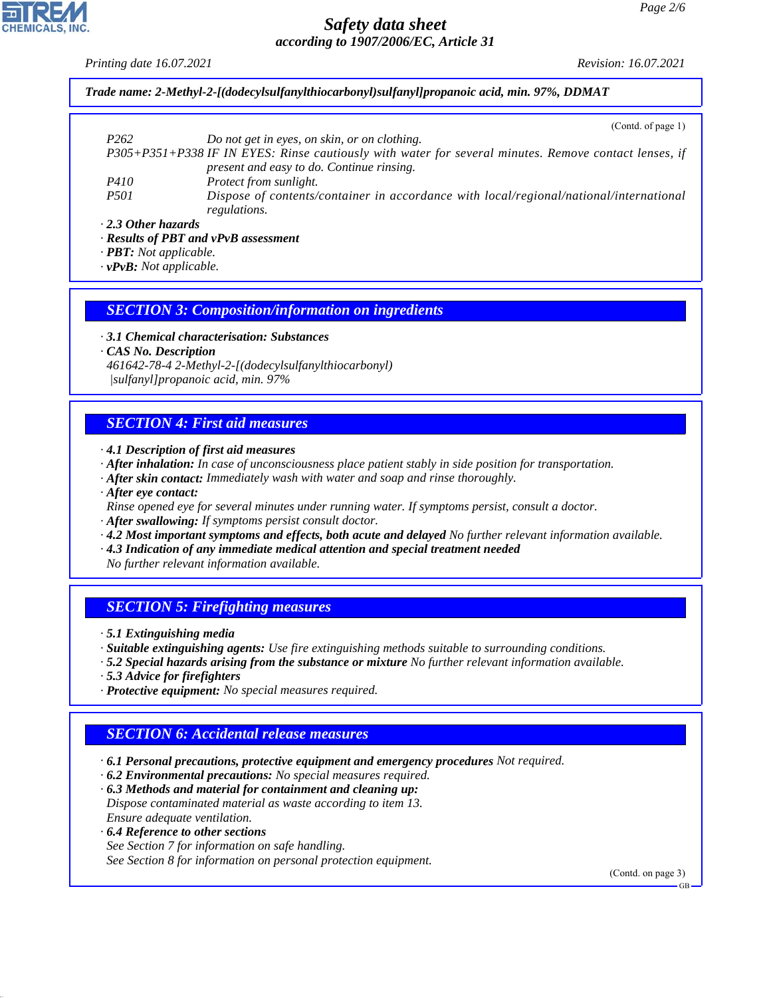*Printing date 16.07.2021 Revision: 16.07.2021*

*Trade name: 2-Methyl-2-[(dodecylsulfanylthiocarbonyl)sulfanyl]propanoic acid, min. 97%, DDMAT*

|                           | (Cond. of page 1)                                                                                     |
|---------------------------|-------------------------------------------------------------------------------------------------------|
| P <sub>262</sub>          | Do not get in eyes, on skin, or on clothing.                                                          |
|                           | P305+P351+P338 IF IN EYES: Rinse cautiously with water for several minutes. Remove contact lenses, if |
|                           | present and easy to do. Continue rinsing.                                                             |
| <i>P410</i>               | <i>Protect from sunlight.</i>                                                                         |
| <i>P501</i>               | Dispose of contents/container in accordance with local/regional/national/international                |
|                           | regulations.                                                                                          |
| $\cdot$ 2.3 Other hazards |                                                                                                       |

*· 2.3 Other hazards*

*· Results of PBT and vPvB assessment*

*· PBT: Not applicable.*

*· vPvB: Not applicable.*

*SECTION 3: Composition/information on ingredients*

*· 3.1 Chemical characterisation: Substances · CAS No. Description 461642-78-4 2-Methyl-2-[(dodecylsulfanylthiocarbonyl) |sulfanyl]propanoic acid, min. 97%*

# *SECTION 4: First aid measures*

*· 4.1 Description of first aid measures*

- *· After inhalation: In case of unconsciousness place patient stably in side position for transportation.*
- *· After skin contact: Immediately wash with water and soap and rinse thoroughly.*
- *· After eye contact:*
- *Rinse opened eye for several minutes under running water. If symptoms persist, consult a doctor.*
- *· After swallowing: If symptoms persist consult doctor.*
- *· 4.2 Most important symptoms and effects, both acute and delayed No further relevant information available.*
- *· 4.3 Indication of any immediate medical attention and special treatment needed*

*No further relevant information available.*

# *SECTION 5: Firefighting measures*

*· 5.1 Extinguishing media*

- *· Suitable extinguishing agents: Use fire extinguishing methods suitable to surrounding conditions.*
- *· 5.2 Special hazards arising from the substance or mixture No further relevant information available.*
- *· 5.3 Advice for firefighters*

44.1.1

*· Protective equipment: No special measures required.*

#### *SECTION 6: Accidental release measures*

- *· 6.1 Personal precautions, protective equipment and emergency procedures Not required.*
- *· 6.2 Environmental precautions: No special measures required.*
- *· 6.3 Methods and material for containment and cleaning up: Dispose contaminated material as waste according to item 13. Ensure adequate ventilation.*
- *· 6.4 Reference to other sections See Section 7 for information on safe handling.*

*See Section 8 for information on personal protection equipment.*

(Contd. on page 3)

GB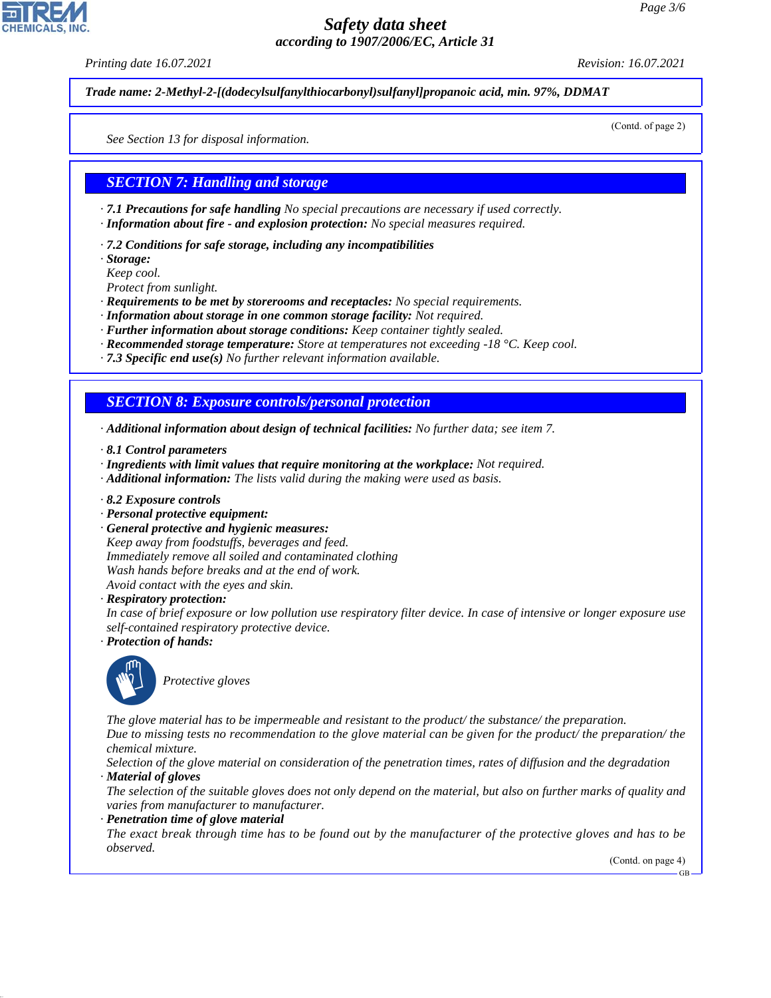*Printing date 16.07.2021 Revision: 16.07.2021*

*Trade name: 2-Methyl-2-[(dodecylsulfanylthiocarbonyl)sulfanyl]propanoic acid, min. 97%, DDMAT*

(Contd. of page 2)

*See Section 13 for disposal information.*

#### *SECTION 7: Handling and storage*

*· 7.1 Precautions for safe handling No special precautions are necessary if used correctly. · Information about fire - and explosion protection: No special measures required.*

*· 7.2 Conditions for safe storage, including any incompatibilities*

*· Storage:*

*Keep cool.*

*Protect from sunlight.*

- *· Requirements to be met by storerooms and receptacles: No special requirements.*
- *· Information about storage in one common storage facility: Not required.*
- *· Further information about storage conditions: Keep container tightly sealed.*
- *· Recommended storage temperature: Store at temperatures not exceeding -18 °C. Keep cool.*
- *· 7.3 Specific end use(s) No further relevant information available.*

#### *SECTION 8: Exposure controls/personal protection*

*· Additional information about design of technical facilities: No further data; see item 7.*

- *· 8.1 Control parameters*
- *· Ingredients with limit values that require monitoring at the workplace: Not required.*
- *· Additional information: The lists valid during the making were used as basis.*
- *· 8.2 Exposure controls*
- *· Personal protective equipment:*
- *· General protective and hygienic measures:*

*Keep away from foodstuffs, beverages and feed. Immediately remove all soiled and contaminated clothing Wash hands before breaks and at the end of work. Avoid contact with the eyes and skin.*

*· Respiratory protection:*

*In case of brief exposure or low pollution use respiratory filter device. In case of intensive or longer exposure use self-contained respiratory protective device.*

*· Protection of hands:*



44.1.1

\_S*Protective gloves*

*The glove material has to be impermeable and resistant to the product/ the substance/ the preparation.*

*Due to missing tests no recommendation to the glove material can be given for the product/ the preparation/ the chemical mixture.*

*Selection of the glove material on consideration of the penetration times, rates of diffusion and the degradation · Material of gloves*

*The selection of the suitable gloves does not only depend on the material, but also on further marks of quality and varies from manufacturer to manufacturer.*

*· Penetration time of glove material*

*The exact break through time has to be found out by the manufacturer of the protective gloves and has to be observed.*

(Contd. on page 4)

GB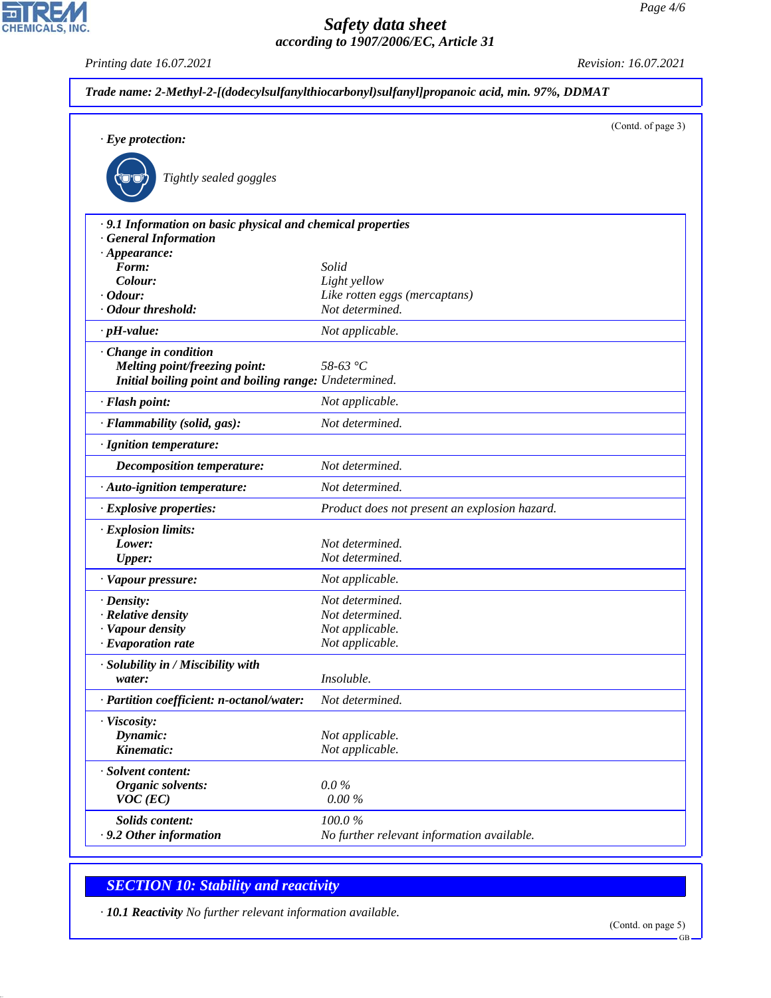*Printing date 16.07.2021 Revision: 16.07.2021*

CHEMICALS, INC.

| $\cdot$ Eye protection:                                                                  | (Contd. of page 3)                            |
|------------------------------------------------------------------------------------------|-----------------------------------------------|
| Tightly sealed goggles                                                                   |                                               |
| .9.1 Information on basic physical and chemical properties<br><b>General Information</b> |                                               |
| $\cdot$ Appearance:                                                                      |                                               |
| Form:                                                                                    | Solid                                         |
| Colour:                                                                                  | Light yellow                                  |
| $\cdot$ Odour:                                                                           | Like rotten eggs (mercaptans)                 |
| · Odour threshold:                                                                       | Not determined.                               |
| $\cdot$ pH-value:                                                                        | Not applicable.                               |
| · Change in condition                                                                    |                                               |
| Melting point/freezing point:                                                            | 58-63 $\degree$ C                             |
| Initial boiling point and boiling range: Undetermined.                                   |                                               |
| · Flash point:                                                                           | Not applicable.                               |
| · Flammability (solid, gas):                                                             | Not determined.                               |
| · Ignition temperature:                                                                  |                                               |
| Decomposition temperature:                                                               | Not determined.                               |
| · Auto-ignition temperature:                                                             | Not determined.                               |
| · Explosive properties:                                                                  | Product does not present an explosion hazard. |
| · Explosion limits:                                                                      |                                               |
| Lower:                                                                                   | Not determined.                               |
| <b>Upper:</b>                                                                            | Not determined.                               |
| · Vapour pressure:                                                                       | Not applicable.                               |
| $\cdot$ Density:                                                                         | Not determined.                               |
| · Relative density                                                                       | Not determined.                               |
| · Vapour density                                                                         | Not applicable.                               |
| $\cdot$ Evaporation rate                                                                 | Not applicable.                               |
| · Solubility in / Miscibility with                                                       |                                               |
| water:                                                                                   | Insoluble.                                    |
| · Partition coefficient: n-octanol/water:                                                | Not determined.                               |
| · Viscosity:                                                                             |                                               |
| Dynamic:                                                                                 | Not applicable.                               |
| Kinematic:                                                                               | Not applicable.                               |
| · Solvent content:                                                                       |                                               |
| Organic solvents:                                                                        | $0.0\%$                                       |
| $VOC$ (EC)                                                                               | $0.00~\%$                                     |
| Solids content:                                                                          | 100.0%                                        |
|                                                                                          | No further relevant information available.    |

# *SECTION 10: Stability and reactivity*

44.1.1

*· 10.1 Reactivity No further relevant information available.*

GB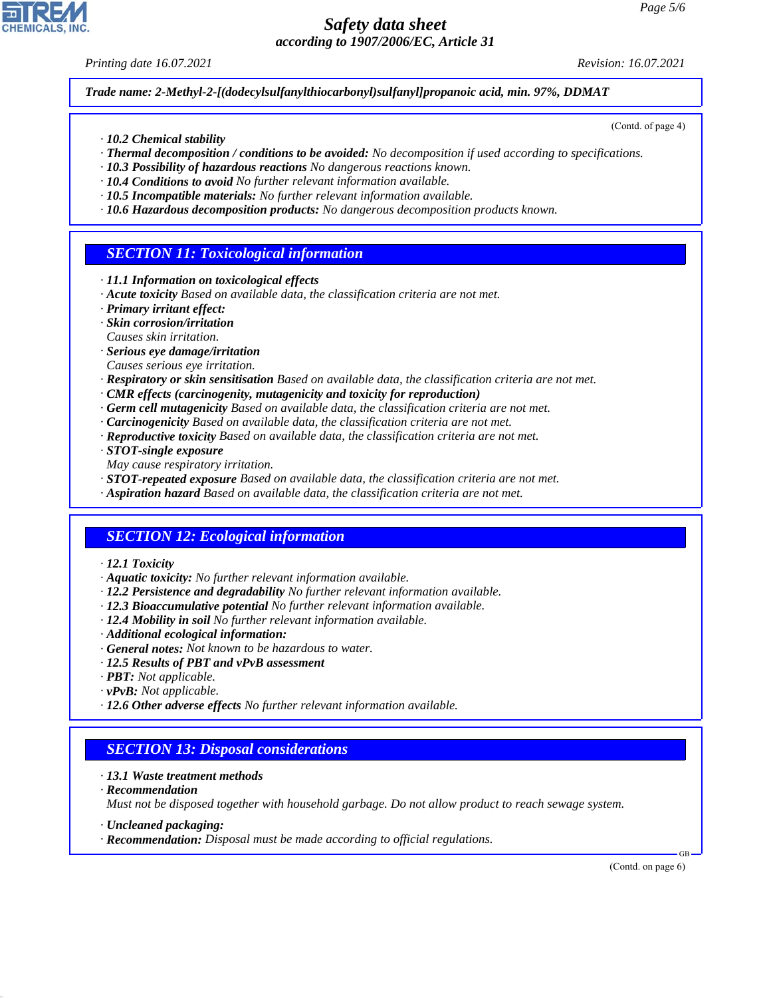*Printing date 16.07.2021 Revision: 16.07.2021*

(Contd. of page 4)

*Trade name: 2-Methyl-2-[(dodecylsulfanylthiocarbonyl)sulfanyl]propanoic acid, min. 97%, DDMAT*

- *· 10.2 Chemical stability*
- *· Thermal decomposition / conditions to be avoided: No decomposition if used according to specifications.*
- *· 10.3 Possibility of hazardous reactions No dangerous reactions known.*
- *· 10.4 Conditions to avoid No further relevant information available.*
- *· 10.5 Incompatible materials: No further relevant information available.*
- *· 10.6 Hazardous decomposition products: No dangerous decomposition products known.*

## *SECTION 11: Toxicological information*

- *· 11.1 Information on toxicological effects*
- *· Acute toxicity Based on available data, the classification criteria are not met.*
- *· Primary irritant effect:*
- *· Skin corrosion/irritation*
- *Causes skin irritation.*
- *· Serious eye damage/irritation*
- *Causes serious eye irritation.*
- *· Respiratory or skin sensitisation Based on available data, the classification criteria are not met.*
- *· CMR effects (carcinogenity, mutagenicity and toxicity for reproduction)*
- *· Germ cell mutagenicity Based on available data, the classification criteria are not met.*
- *· Carcinogenicity Based on available data, the classification criteria are not met.*
- *· Reproductive toxicity Based on available data, the classification criteria are not met.*
- *· STOT-single exposure*
- *May cause respiratory irritation.*
- *· STOT-repeated exposure Based on available data, the classification criteria are not met.*
- *· Aspiration hazard Based on available data, the classification criteria are not met.*

# *SECTION 12: Ecological information*

- *· 12.1 Toxicity*
- *· Aquatic toxicity: No further relevant information available.*
- *· 12.2 Persistence and degradability No further relevant information available.*
- *· 12.3 Bioaccumulative potential No further relevant information available.*
- *· 12.4 Mobility in soil No further relevant information available.*
- *· Additional ecological information:*
- *· General notes: Not known to be hazardous to water.*
- *· 12.5 Results of PBT and vPvB assessment*
- *· PBT: Not applicable.*
- *· vPvB: Not applicable.*
- *· 12.6 Other adverse effects No further relevant information available.*

#### *SECTION 13: Disposal considerations*

- *· 13.1 Waste treatment methods*
- *· Recommendation*

44.1.1

*Must not be disposed together with household garbage. Do not allow product to reach sewage system.*

- *· Uncleaned packaging:*
- *· Recommendation: Disposal must be made according to official regulations.*

(Contd. on page 6)

GB